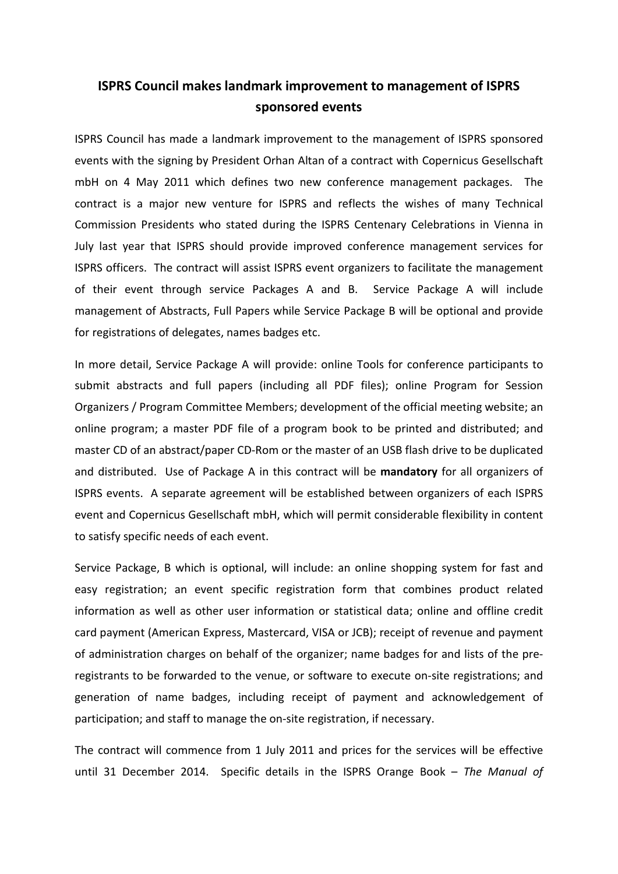## **ISPRS Council makes landmark improvement to management of ISPRS sponsored events**

ISPRS Council has made a landmark improvement to the management of ISPRS sponsored events with the signing by President Orhan Altan of a contract with Copernicus Gesellschaft mbH on 4 May 2011 which defines two new conference management packages. The contract is a major new venture for ISPRS and reflects the wishes of many Technical Commission Presidents who stated during the ISPRS Centenary Celebrations in Vienna in July last year that ISPRS should provide improved conference management services for ISPRS officers. The contract will assist ISPRS event organizers to facilitate the management of their event through service Packages A and B. Service Package A will include management of Abstracts, Full Papers while Service Package B will be optional and provide for registrations of delegates, names badges etc.

In more detail, Service Package A will provide: online Tools for conference participants to submit abstracts and full papers (including all PDF files); online Program for Session Organizers / Program Committee Members; development of the official meeting website; an online program; a master PDF file of a program book to be printed and distributed; and master CD of an abstract/paper CD-Rom or the master of an USB flash drive to be duplicated and distributed. Use of Package A in this contract will be **mandatory** for all organizers of ISPRS events. A separate agreement will be established between organizers of each ISPRS event and Copernicus Gesellschaft mbH, which will permit considerable flexibility in content to satisfy specific needs of each event.

Service Package, B which is optional, will include: an online shopping system for fast and easy registration; an event specific registration form that combines product related information as well as other user information or statistical data; online and offline credit card payment (American Express, Mastercard, VISA or JCB); receipt of revenue and payment of administration charges on behalf of the organizer; name badges for and lists of the preregistrants to be forwarded to the venue, or software to execute on-site registrations; and generation of name badges, including receipt of payment and acknowledgement of participation; and staff to manage the on-site registration, if necessary.

The contract will commence from 1 July 2011 and prices for the services will be effective until 31 December 2014. Specific details in the ISPRS Orange Book – *The Manual of*